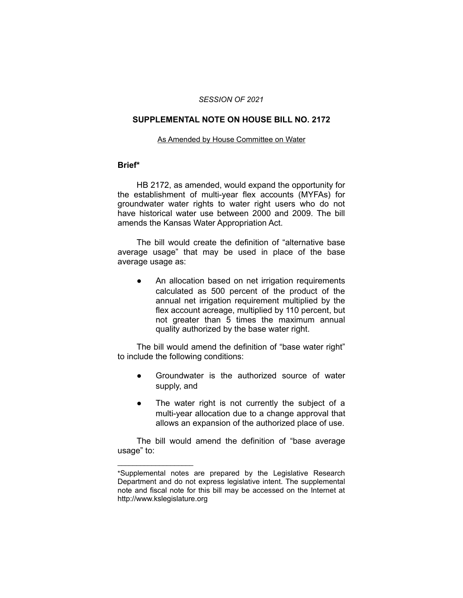#### *SESSION OF 2021*

# **SUPPLEMENTAL NOTE ON HOUSE BILL NO. 2172**

#### As Amended by House Committee on Water

### **Brief\***

HB 2172, as amended, would expand the opportunity for the establishment of multi-year flex accounts (MYFAs) for groundwater water rights to water right users who do not have historical water use between 2000 and 2009. The bill amends the Kansas Water Appropriation Act.

The bill would create the definition of "alternative base average usage" that may be used in place of the base average usage as:

An allocation based on net irrigation requirements calculated as 500 percent of the product of the annual net irrigation requirement multiplied by the flex account acreage, multiplied by 110 percent, but not greater than 5 times the maximum annual quality authorized by the base water right.

The bill would amend the definition of "base water right" to include the following conditions:

- Groundwater is the authorized source of water supply, and
- The water right is not currently the subject of a multi-year allocation due to a change approval that allows an expansion of the authorized place of use.

The bill would amend the definition of "base average usage" to:

 $\overline{\phantom{a}}$  , where  $\overline{\phantom{a}}$  , where  $\overline{\phantom{a}}$ 

<sup>\*</sup>Supplemental notes are prepared by the Legislative Research Department and do not express legislative intent. The supplemental note and fiscal note for this bill may be accessed on the Internet at http://www.kslegislature.org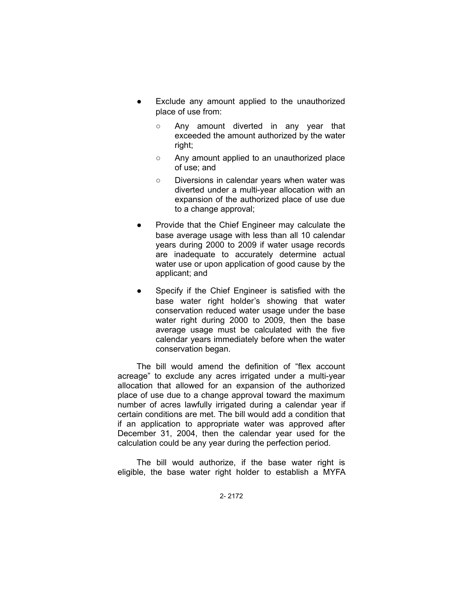- Exclude any amount applied to the unauthorized place of use from:
	- Any amount diverted in any year that exceeded the amount authorized by the water right;
	- Any amount applied to an unauthorized place of use; and
	- Diversions in calendar years when water was diverted under a multi-year allocation with an expansion of the authorized place of use due to a change approval;
- Provide that the Chief Engineer may calculate the base average usage with less than all 10 calendar years during 2000 to 2009 if water usage records are inadequate to accurately determine actual water use or upon application of good cause by the applicant; and
- Specify if the Chief Engineer is satisfied with the base water right holder's showing that water conservation reduced water usage under the base water right during 2000 to 2009, then the base average usage must be calculated with the five calendar years immediately before when the water conservation began.

The bill would amend the definition of "flex account acreage" to exclude any acres irrigated under a multi-year allocation that allowed for an expansion of the authorized place of use due to a change approval toward the maximum number of acres lawfully irrigated during a calendar year if certain conditions are met. The bill would add a condition that if an application to appropriate water was approved after December 31, 2004, then the calendar year used for the calculation could be any year during the perfection period.

The bill would authorize, if the base water right is eligible, the base water right holder to establish a MYFA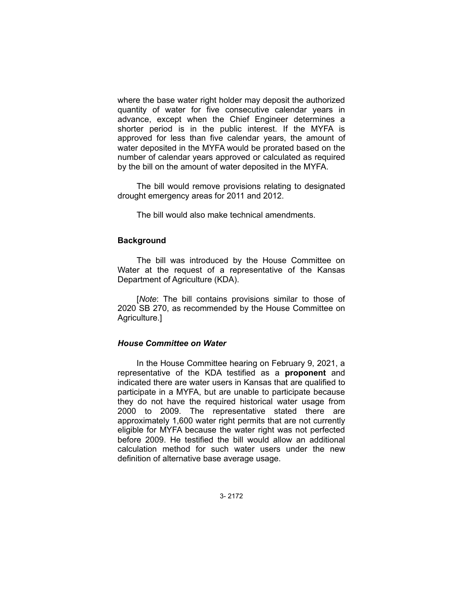where the base water right holder may deposit the authorized quantity of water for five consecutive calendar years in advance, except when the Chief Engineer determines a shorter period is in the public interest. If the MYFA is approved for less than five calendar years, the amount of water deposited in the MYFA would be prorated based on the number of calendar years approved or calculated as required by the bill on the amount of water deposited in the MYFA.

The bill would remove provisions relating to designated drought emergency areas for 2011 and 2012.

The bill would also make technical amendments.

# **Background**

The bill was introduced by the House Committee on Water at the request of a representative of the Kansas Department of Agriculture (KDA).

[*Note*: The bill contains provisions similar to those of 2020 SB 270, as recommended by the House Committee on Agriculture.]

# *House Committee on Water*

In the House Committee hearing on February 9, 2021, a representative of the KDA testified as a **proponent** and indicated there are water users in Kansas that are qualified to participate in a MYFA, but are unable to participate because they do not have the required historical water usage from 2000 to 2009. The representative stated there are approximately 1,600 water right permits that are not currently eligible for MYFA because the water right was not perfected before 2009. He testified the bill would allow an additional calculation method for such water users under the new definition of alternative base average usage.